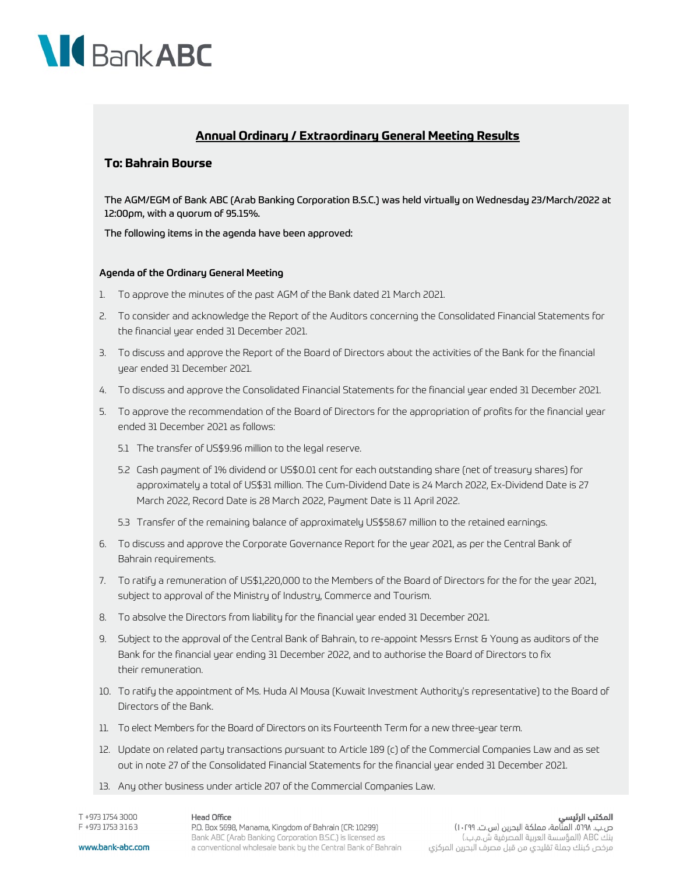

## **Annual Ordinary / Extraordinary General Meeting Results**

#### **To: Bahrain Bourse**

The AGM/EGM of Bank ABC (Arab Banking Corporation B.S.C.) was held virtually on Wednesday 23/March/2022 at 12:00pm, with a quorum of 95.15%.

The following items in the agenda have been approved:

#### Agenda of the Ordinary General Meeting

- 1. To approve the minutes of the past AGM of the Bank dated 21 March 2021.
- 2. To consider and acknowledge the Report of the Auditors concerning the Consolidated Financial Statements for the financial year ended 31 December 2021.
- 3. To discuss and approve the Report of the Board of Directors about the activities of the Bank for the financial year ended 31 December 2021.
- 4. To discuss and approve the Consolidated Financial Statements for the financial year ended 31 December 2021.
- 5. To approve the recommendation of the Board of Directors for the appropriation of profits for the financial year ended 31 December 2021 as follows:
	- 5.1 The transfer of US\$9.96 million to the legal reserve.
	- 5.2 Cash payment of 1% dividend or US\$0.01 cent for each outstanding share (net of treasury shares) for approximately a total of US\$31 million. The Cum-Dividend Date is 24 March 2022, Ex-Dividend Date is 27 March 2022, Record Date is 28 March 2022, Payment Date is 11 April 2022.
	- 5.3 Transfer of the remaining balance of approximately US\$58.67 million to the retained earnings.
- 6. To discuss and approve the Corporate Governance Report for the year 2021, as per the Central Bank of Bahrain requirements.
- 7. To ratify a remuneration of US\$1,220,000 to the Members of the Board of Directors for the for the year 2021, subject to approval of the Ministry of Industry, Commerce and Tourism.
- 8. To absolve the Directors from liability for the financial year ended 31 December 2021.
- 9. Subject to the approval of the Central Bank of Bahrain, to re-appoint Messrs Ernst & Young as auditors of the Bank for the financial year ending 31 December 2022, and to authorise the Board of Directors to fix their remuneration.
- 10. To ratify the appointment of Ms. Huda Al Mousa (Kuwait Investment Authority's representative) to the Board of Directors of the Bank.
- 11. To elect Members for the Board of Directors on its Fourteenth Term for a new three-year term.
- 12. Update on related party transactions pursuant to Article 189 (c) of the Commercial Companies Law and as set out in note 27 of the Consolidated Financial Statements for the financial year ended 31 December 2021.
- 13. Any other business under article 207 of the Commercial Companies Law.

T +973 1754 3000 F +973 1753 3163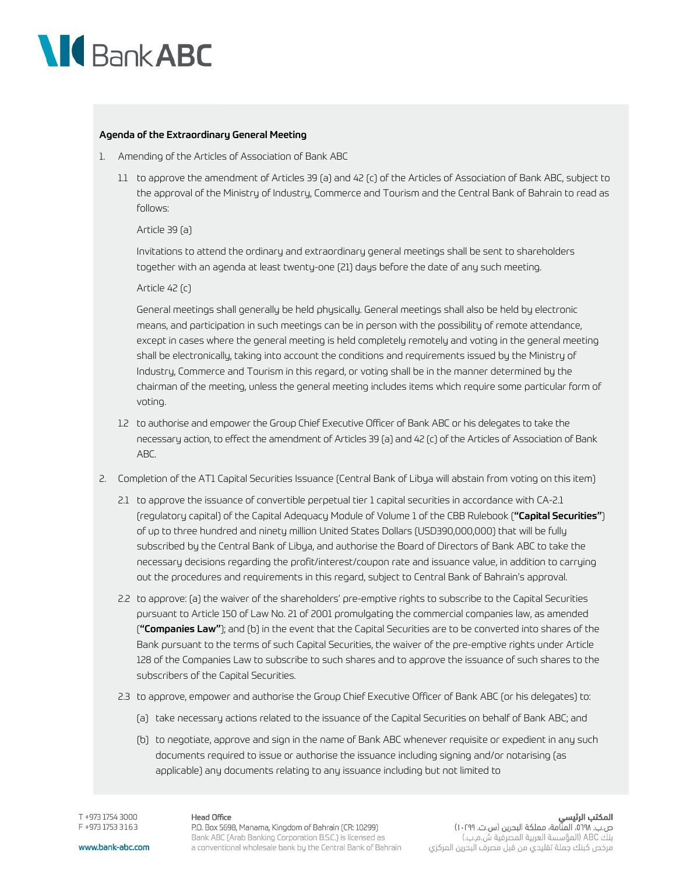

#### Agenda of the Extraordinary General Meeting

- 1. Amending of the Articles of Association of Bank ABC
	- 1.1 to approve the amendment of Articles 39 (a) and 42 (c) of the Articles of Association of Bank ABC, subject to the approval of the Ministry of Industry, Commerce and Tourism and the Central Bank of Bahrain to read as follows:

#### Article 39 (a)

Invitations to attend the ordinary and extraordinary general meetings shall be sent to shareholders together with an agenda at least twenty-one (21) days before the date of any such meeting.

#### Article 42 (c)

General meetings shall generally be held physically. General meetings shall also be held by electronic means, and participation in such meetings can be in person with the possibility of remote attendance, except in cases where the general meeting is held completely remotely and voting in the general meeting shall be electronically, taking into account the conditions and requirements issued by the Ministry of Industry, Commerce and Tourism in this regard, or voting shall be in the manner determined by the chairman of the meeting, unless the general meeting includes items which require some particular form of voting.

- 1.2 to authorise and empower the Group Chief Executive Officer of Bank ABC or his delegates to take the necessary action, to effect the amendment of Articles 39 (a) and 42 (c) of the Articles of Association of Bank ABC.
- 2. Completion of the AT1 Capital Securities Issuance (Central Bank of Libya will abstain from voting on this item)
	- 2.1 to approve the issuance of convertible perpetual tier 1 capital securities in accordance with CA-2.1 (regulatory capital) of the Capital Adequacy Module of Volume 1 of the CBB Rulebook ("Capital Securities") of up to three hundred and ninety million United States Dollars (USD390,000,000) that will be fully subscribed by the Central Bank of Libya, and authorise the Board of Directors of Bank ABC to take the necessary decisions regarding the profit/interest/coupon rate and issuance value, in addition to carrying out the procedures and requirements in this regard, subject to Central Bank of Bahrain's approval.
	- 2.2 to approve: (a) the waiver of the shareholders' pre-emptive rights to subscribe to the Capital Securities pursuant to Article 150 of Law No. 21 of 2001 promulgating the commercial companies law, as amended ("Companies Law"); and (b) in the event that the Capital Securities are to be converted into shares of the Bank pursuant to the terms of such Capital Securities, the waiver of the pre-emptive rights under Article 128 of the Companies Law to subscribe to such shares and to approve the issuance of such shares to the subscribers of the Capital Securities.
	- 2.3 to approve, empower and authorise the Group Chief Executive Officer of Bank ABC (or his delegates) to:
		- (a) take necessary actions related to the issuance of the Capital Securities on behalf of Bank ABC; and
		- (b) to negotiate, approve and sign in the name of Bank ABC whenever requisite or expedient in any such documents required to issue or authorise the issuance including signing and/or notarising (as applicable) any documents relating to any issuance including but not limited to

T +973 1754 3000 F +973 1753 3163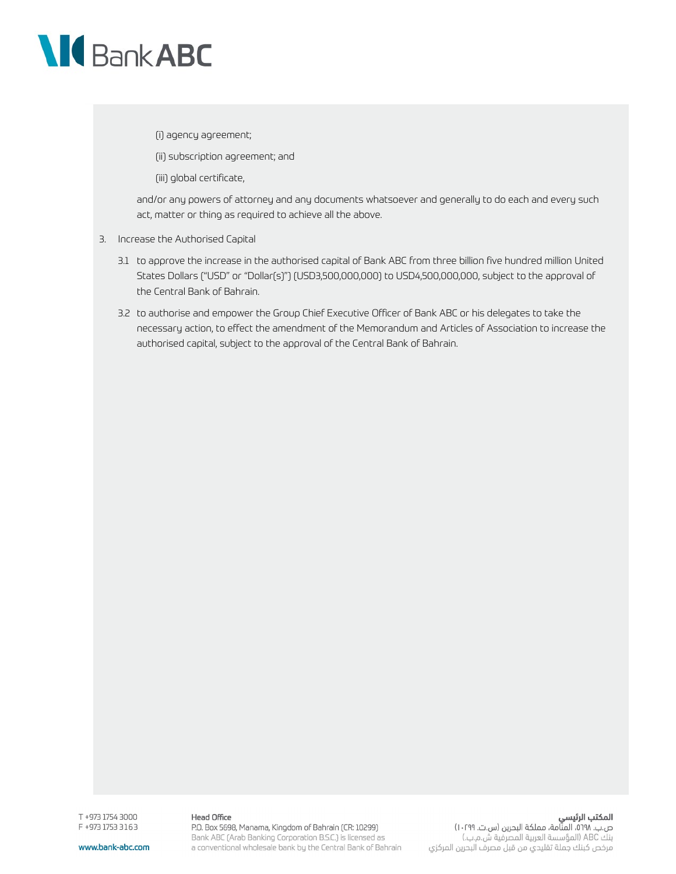

(i) agency agreement;

(ii) subscription agreement; and

(iii) global certificate,

and/or any powers of attorney and any documents whatsoever and generally to do each and every such act, matter or thing as required to achieve all the above.

- 3. Increase the Authorised Capital
	- 3.1 to approve the increase in the authorised capital of Bank ABC from three billion five hundred million United States Dollars ("USD" or "Dollar(s)") (USD3,500,000,000) to USD4,500,000,000, subject to the approval of the Central Bank of Bahrain.
	- 3.2 to authorise and empower the Group Chief Executive Officer of Bank ABC or his delegates to take the necessary action, to effect the amendment of the Memorandum and Articles of Association to increase the authorised capital, subject to the approval of the Central Bank of Bahrain.

www.bank-abc.com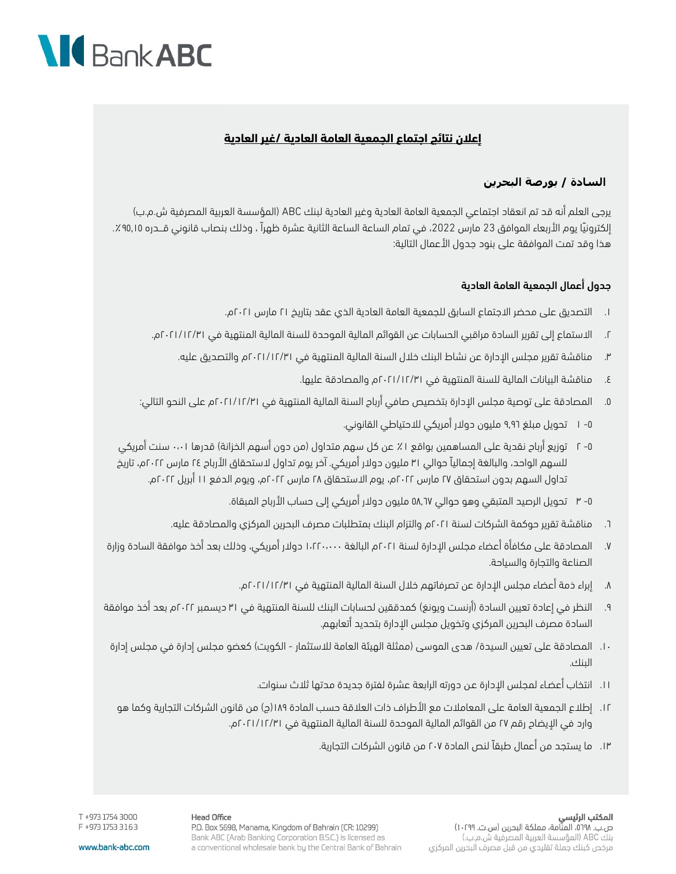

## **إعلان نتائج اجتماع الجمعية العامة العادية /غير العادية**

## **السادة / بورصة البحرين**

يرجى العلم أنه قد تم انعقاد اجتماعي الجمعية العامة العادية وغير العادية لبنك ABC (المؤسسة العربية المصرفية ش.م.ب) إلكترونيا يوم الأربعاء الموافق 23 مارس 2022، في تمام الساعة الساعة الثانية عشرة ظهراً ، وذلك بنصاب قانوني قـــدره ٩٥,١٥٪. هذا وقد تمت الموافقة على بنود جدول الأعمال التالية:

#### جدول أعمال الجمعية العامة العادية

- ١. التصديق على محضر الاجتماع السابق للجمعية العامة العادية الذي عقد بتاريخ ٢١ مارس ٢٠٢١م.
- ٢. الاستماع إلى تقرير السادة مراقبي الحسابات عن القوائم المالية الموحدة للسنة المالية المنتهية في /٣١ ٢٠٢١/١٢م.
	- ٣. مناقشة تقرير مجلس الإدارة عن نشاط البنك خلال السنة المالية المنتهية في ٢٠٢١/١٢/٣١م والتصديق عليه.
		- ٤. مناقشة البيانات المالية للسنة المنتهية في ٢٠٢١/١٢/٣١م والمصادقة عليها.
- ٥. المصادقة على توصية مجلس الإدارة بتخصيص صافي أرباح السنة المالية المنتهية في ٢٠٢١/١٢/٣١م على النحو التالي:
	- -٥ ١ تحويل مبلغ ٩٫٩٦ مليون دولار أمريكي للاحتياطي القانوني.
- -٥ ٢ توزيع أرباح نقدية على المساهمين بواقع ١٪ عن كل سهم متداول (من دون أسهم الخزانة) قدرها ٠٬٠١ سنت أمريكي للسهم الواحد، والبالغة إجمالياً حوالي ٣١ مليون دولار أمريكي. آخر يوم تداول لاستحقاق الأرباح ٢٤ مارس ٢٠٢٢م، تاريخ تداول السهم بدون استحقاق ٢٧ مارس ٢٠٢٢م، يوم الاستحقاق ٢٨ مارس ٢٠٢٢م، ويوم الدفع ١١ أبريل ٢٠٢٢م.
	- -٥ ٣ تحويل الرصيد المتبقي وهو حوالي ٥٨,٦٧ مليون دولار أمريكي إلى حساب الأرباح المبقاة.
	- ٦. مناقشة تقرير حوكمة الشركات لسنة ٢٠٢١م والتزام البنك بمتطلبات مصرف البحرين المركزي والمصادقة عليه.
- ٧. المصادقة على مكافأة أعضاء مجلس الإدارة لسنة ٢٠٢١م البالغة ١٬٢٢٠٬٠٠٠ دولار أمريكي، وذلك بعد أخذ موافقة السادة وزارة الصناعة والتجارة والسياحة.
	- ٨. إبراء ذمة أعضاء مجلس الإدارة عن تصرفاتهم خلال السنة المالية المنتهية في ٢٠٢١/١٢/٣١م.
- ٩. النظر في إعادة تعيين السادة (أرنست ويونغ) كمدققين لحسابات البنك للسنة المنتهية في ٣١ ديسمبر ٢٠٢٢م بعد أخذ موافقة السادة مصرف البحرين المركزي وتخويل مجلس الإدارة بتحديد أتعابهم.
- ١٠ . المصادقة على تعيين السيدة/ هدى الموسى (ممثلة الهيئة العامة للاستثمار الكويت) كعضو مجلس إدارة في مجلس إدارة البنك.
	- ١١ . انتخاب أعضـاء لمجلس الإدارة عـن دورته الرابعة عشرة لفترة جديدة مدتها ثلاث سنوات.
	- ١٢ . إطلاع الجمعية العامة على المعاملات مع الأطراف ذات العلاقة حسب المادة ١٨٩(ج) من قانون الشركات التجارية وكما هو وارد في الإيضاح رقم ٢٧ من القوائم المالية الموحدة للسنة المالية المنتهية في ٢٠٢١/١٢/٣١م.
		- ١٣ . ما يستجد من أعمال طبقاً لنص المادة ٢٠٧ من قانون الشركات التجارية.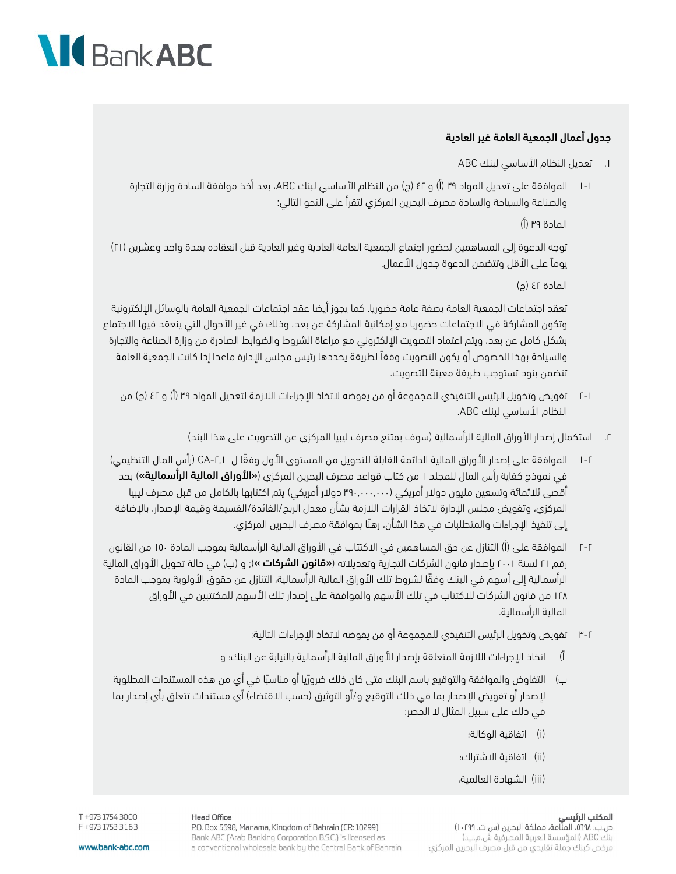## **NG** Bank ABC

## جدول أعمال الجمعية العامة غير العادية

### .١ تعديل النظام الأساسي لبنك ABC

١-١ الموافقة على تعديل المواد ٣٩ (أ) و ٤٢ (ج) من النظام الأساسي لبنك ABC، بعد أخذ موافقة السادة وزارة التجارة والصناعة والسياحة والسادة مصرف البحرين المركزي لتقرأ على النحو التالي:

المادة ٣٩ (أ)

توجه الدعوة إلى المساهمين لحضور اجتماع الجمعية العامة العادية وغير العادية قبل انعقاده بمدة واحد وعشرين ( ٢١) يوماً على الأقل وتتضمن الدعوة جدول الأعمال.

المادة ٤٢ (ج)

تعقد اجتماعات الجمعية العامة بصفة عامة حضوريا. كما يجوز أيضا عقد اجتماعات الجمعية العامة بالوسائل الإلكترونية وتكون المشاركة في الاجتماعات حضوريا مع إمكانية المشاركة عن بعد، وذلك في غير الأحوال التي ينعقد فيها الاجتماع بشكل كامل عن بعد، ويتم اعتماد التصويت الإلكتروني مع مراعاة الشروط والضوابط الصادرة من وزارة الصناعة والتجارة والسياحة بهذا الخصوص أو يكون التصويت وفقاً لطريقة يحددها رئيس مجلس الإدارة ماعدا إذا كانت الجمعية العامة تتضمن بنود تستوجب طريقة معينة للتصويت.

- ٢-١ تفويض وتخويل الرئيس التنفيذي للمجموعة أو من يفوضه لاتخاذ الإجراءات اللازمة لتعديل المواد ٣٩ (أ) و ٤٢ (ج) من النظام الأساسي لبنك ABC.
	- .٢ استكمال إصدار الأوراق المالية الرأسمالية (سوف يمتنع مصرف ليبيا المركزي عن التصويت على هذا البند)
- ١-٢ الموافقة على إصدار الأوراق المالية الدائمة القابلة للتحويل من المستوى الأول وفقً ا ل -٢٫١CA) رأس المال التنظيمي) في نموذج كفاية رأس المال للمجلد ١ من كتاب قواعد مصرف البحرين المركزي (**«الأوراق المالية الرأسمالية»**) بحد أقصى ثلاثمائة وتسعين مليون دولار أمريكي (٣٩٠,٠٠٠,٠٠٠ دولار أمريكي) يتم اكتتابها بالكامل من قبل مصرف ليبيا المركزي، وتفويض مجلس الإدارة لاتخاذ القرارات اللازمة بشأن معدل الربح/الفائدة/القسيمة وقيمة الإصدار، بالإضافة إلى تنفيذ الإجراءات والمتطلبات في هذا الشأن، رهنً ا بموافقة مصرف البحرين المركزي.
- ٢-٢ الموافقة على (أ) التنازل عن حق المساهمين في الاكتتاب في الأوراق المالية الرأسمالية بموجب المادة ١٥٠ من القانون رقم ٢١ لسنة ٢٠٠١ بإصدار قانون الشركات التجارية وتعديلاته («**قانون الشركات** »); و (ب) في حالة تحويل الأوراق المالية الرأسمالية إلى أسهم في البنك وفقً ا لشروط تلك الأوراق المالية الرأسمالية، التنازل عن حقوق الأولوية بموجب المادة ١٢٨ من قانون الشركات للاكتتاب في تلك الأسهم والموافقة على إصدار تلك الأسهم للمكتتبين في الأوراق المالية الرأسمالية.
	- ٣-٢ تفويض وتخويل الرئيس التنفيذي للمجموعة أو من يفوضه لاتخاذ الإجراءات التالية:
	- أ) اتخاذ الإجراءات اللازمة المتعلقة بإصدار الأوراق المالية الرأسمالية بالنيابة عن البنك؛ و
	- ب) التفاوض والموافقة والتوقيع باسم البنك متى كان ذلك ضروريا أو مناسبًا في أي من هذه المستندات المطلوبة لإصدار أو تفويض الإصدار بما في ذلك التوقيع و/أو التوثيق (حسب الاقتضاء) أي مستندات تتعلق بأي إصدار بما في ذلك على سبيل المثال لا الحصر:
		- (i (اتفاقية الوكالة؛
		- (ii) اتفاقية الاشتراك؛
		- (iii) الشهادة العالمية،

مرخص كبنك جملة تقليدي من قبل مصرف البحرين المركزي

#### المكتب الرئيسي ص.ب. ٥٦٩٨، المنَّامة، مملكة البحرين (س.ت. ١٠٢٩٩) بنك ABC (المؤسسة العربية المصرفية ش.م.ب.)